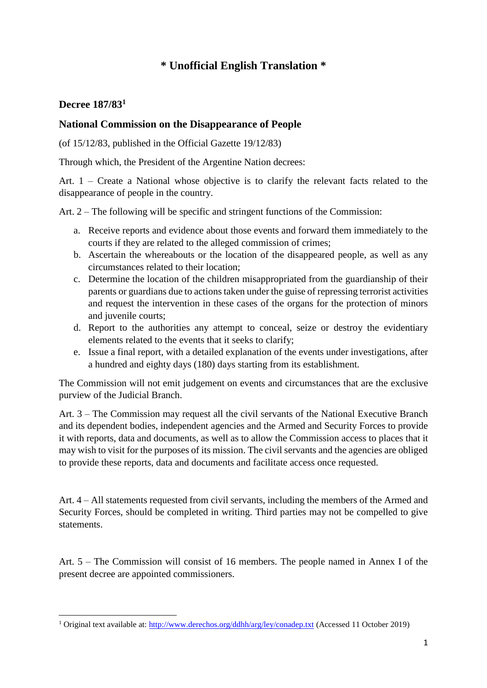## **\* Unofficial English Translation \***

## **Decree 187/83<sup>1</sup>**

**.** 

## **National Commission on the Disappearance of People**

(of 15/12/83, published in the Official Gazette 19/12/83)

Through which, the President of the Argentine Nation decrees:

Art. 1 – Create a National whose objective is to clarify the relevant facts related to the disappearance of people in the country.

Art. 2 – The following will be specific and stringent functions of the Commission:

- a. Receive reports and evidence about those events and forward them immediately to the courts if they are related to the alleged commission of crimes;
- b. Ascertain the whereabouts or the location of the disappeared people, as well as any circumstances related to their location;
- c. Determine the location of the children misappropriated from the guardianship of their parents or guardians due to actions taken under the guise of repressing terrorist activities and request the intervention in these cases of the organs for the protection of minors and juvenile courts;
- d. Report to the authorities any attempt to conceal, seize or destroy the evidentiary elements related to the events that it seeks to clarify;
- e. Issue a final report, with a detailed explanation of the events under investigations, after a hundred and eighty days (180) days starting from its establishment.

The Commission will not emit judgement on events and circumstances that are the exclusive purview of the Judicial Branch.

Art. 3 – The Commission may request all the civil servants of the National Executive Branch and its dependent bodies, independent agencies and the Armed and Security Forces to provide it with reports, data and documents, as well as to allow the Commission access to places that it may wish to visit for the purposes of its mission. The civil servants and the agencies are obliged to provide these reports, data and documents and facilitate access once requested.

Art. 4 – All statements requested from civil servants, including the members of the Armed and Security Forces, should be completed in writing. Third parties may not be compelled to give statements.

Art. 5 – The Commission will consist of 16 members. The people named in Annex I of the present decree are appointed commissioners.

<sup>&</sup>lt;sup>1</sup> Original text available at:<http://www.derechos.org/ddhh/arg/ley/conadep.txt> (Accessed 11 October 2019)